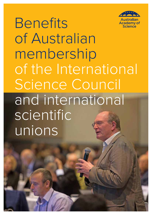

**Benefits** of Australian membership of the International Science Council and international scientific unions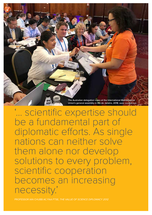

'… scientific expertise should be a fundamental part of diplomatic efforts. As single nations can neither solve them alone nor develop solutions to every problem, scientific cooperation becomes an increasing necessity.'

PROFESSOR IAN CHUBB AC FAA FTSE, *THE VALUE OF SCIENCE DIPLOMACY 2012*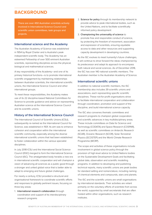# **BACKGROUND**

There are over 450 Australian scientists actively involved in International Science Council and scientific union committees, task groups and projects.

#### **International science and the Academy**

The Australian Academy of Science was established in 1954 by Royal Charter and is Australia's peak independent scientific body. The Academy has an esteemed Fellowship of over 500 eminent Australian scientists, representing disciplines across the physical, biological and mathematical sciences.

A key responsibility of the Academy—and one of its primary historical functions—is to promote international scientific engagement by maintaining relationships between Australian scientists, the international scientific unions, the International Science Council and other international groups.

To meet these responsibilities, the Academy makes use of its 22 discipline-based National Committees for Science to provide guidance and advice on representing Australian science at the International Science Council and its scientific unions.

### **History of the International Science Council**

The International Council of Scientific Unions (ICSU), subsequently re-named as the International Council for Science, was established in 1931. Its aim was to enhance cohesion and cooperation within the international scientific community, especially among the diverse international scientific unions that had been established to foster collaboration within the various specialist disciplines.

In July 2018 ICSU and the International Social Science Council (ISSC) merged to form the International Science Council (ISC). The amalgamated body heralds a new era in international scientific cooperation and will champion a vision of advancing all sciences as a public good through a stronger and united global voice that is better able to adapt to emerging and future global challenges.

For nearly a century, ICSU provided a structural and organisational framework to coordinate scientific efforts and responses to globally pertinent issues, focusing on three key areas:

1. International research collaboration through coordination and support of its interdisciplinary research programs

- 2. Science for policy through its membership network to provide advice to peak international bodies, such as the United Nations, and to facilitate scientifically informed policy development
- 3. Championing the universality of science to promote free and responsible conduct of science, by protecting the freedom of movement, association and expression of scientists, ensuring equitable access to data and other resources and supporting capacity development in developing countries.

As the ISC evolves to meet humanity's future challenges, it will continue to drive forward the ideas championed by its predecessor and adapt its approach to encompass both natural and social sciences. As of December 2018, the ISC has over 140 national scientific members. The Australian member is the Australian Academy of Science.

#### **International scientific unions**

In addition to national scientific members, the ISC membership also includes 39 scientific unions and associations, each representing specific scientific disciplines. These not-for-profit organisations strive to facilitate international cooperation and collaboration through coordination, promotion and support of the discipline, and build international science capacity.

The ISC also convenes thematic committees and research programs to champion global cooperation and scientific advances in key multidisciplinary areas. These include committees on Data for Science and Technology (CODATA) and Space Research (COSPAR), as well as scientific committees on Antarctic Research (SCAR), Oceanic Research (SCOR), Solar-Terrestrial Physics (SCOSTEP) and the World Climate Research Programme (WCRP).

The scope and activities of these organisations include involvement in global science policy through the provision of high-level advice to United Nations bodies on the Sustainable Development Goals and facilitating global data, observation and scientific modelling programs. In addition to developing and publishing technical reports, many scientific unions are peak bodies for standard setting and nomenclature, including naming of chemical elements and compounds, stars and planets.

The ISC and the scientific unions are small organisations by international standards. Their activities are reliant primarily on the voluntary efforts of scientists from across the world, supported by small secretariats that are often hosted within other organisations, such as research institutes.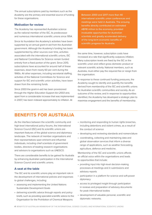The annual subscriptions paid by members such as the Academy are the primary and essential source of funding for these organisations.

# **Motivation for review**

The Academy has represented Australian science as the national member of the ISC, its predecessor and numerous international scientific unions since 1954.

Since its foundation the Academy's activities have been supported by an annual grant-in-aid from the Australian government. Although the Academy's funding has been supplemented by other sources over time, activities associated with the international scientific unions, ISC and National Committees for Science remain funded entirely from a fixed portion of the grant. Since 2013, subscriptions have accounted for around half of these expenses, down from nearly 60 per cent during the 1990s. All other expenses, including secretariat staffing, activities of the National Committees for Science and support for ISC and scientific union activities, have been drawn from the remaining funds.

Since 2003 the grant-in-aid has been provisioned through the *Higher Education Support Act 2003* and, apart from a considerable increase that was implemented in 2007, has been indexed approximately to inflation. At

Between 2000 and 2017 more than 40 international scientific union conferences and meetings were held in Australia. The ensuing benefits directly contributed an estimated A\$118 million to the economy, provided invaluable opportunities for Australian scientists and greatly accelerated delivery of the long-term economic benefits of scientific progress for Australia.

the same time, however, subscription costs have increased at a rate that significantly outpaces inflation. Many subscription levels are fixed by the ISC or the scientific union and reflect gross domestic product or relevant scientific activity. National members, such as Australia, must either pay the required fee or resign from the organisation.

In response to these continued funding pressures, the Academy sought to identify and quantify the benefits derived from membership of the ISC and scientific unions for Australian scientific communities and society. As an outcome of the review, and in response to opportunities identified, the Academy has developed a strategic plan to maximise engagement and the benefits of membership.

# **BENEFITS FOR AUSTRALIA**

As the interface between the scientific community and high-level international policy forums, the International Science Council (ISC) and its scientific unions are important features of the global science and diplomacy landscape. The network of member organisations and their representatives span eminent and influential individuals, including chief scientists of government bodies, directors of leading research organisations and advisors to organisations such as UNESCO.

There are considerable benefits to be gained for Australia by enhancing Australian participation in the International Science Council and scientific unions.

# **A seat at the table**

The ISC and its scientific unions play an important role in the development of international policies and responses to global challenges, including:

- assessing and implementing the United Nations Sustainable Development Goals
- delivering scientific advice through reports and policy briefs, such as providing specialist scientific advice to the Organisation for the Prohibition of Chemical Weapons
- monitoring and responding to human rights breaches, including detentions and violent crimes, as a result of the conduct of science
- developing and reviewing standards and nomenclature
- coordinating, collecting and maintaining data and global observation services that inform a diverse range of applications, such as weather forecasting, agriculture, defence and medicine.

Membership of the ISC and scientific unions affords an official voice within the organisations and leads to opportunities that include:

- providing input into high-level decision-making processes at meetings and in submissions and advisory reports
- participation in a platform for science and soft-power diplomacy
- access to privileged insight through participation in reviews and preparation of advisory documents for peak international bodies
- development of valuable personal, scientific and diplomatic networks.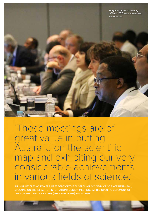

'These meetings are of great value in putting Australia on the scientific map and exhibiting our very considerable achievements in various fields of science.'

SIR JOHN ECCLES AC FAA FRS, PRESIDENT OF THE AUSTRALIAN ACADEMY OF SCIENCE (1957–1961), SPEAKING ON THE IMPACT OF INTERNATIONAL UNION MEETINGS AT THE OPENING CEREMONY OF THE ACADEMY HEADQUARTERS (THE SHINE DOME), 6 MAY 1959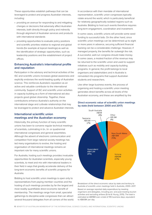These opportunities establish pathways that can be leveraged to protect and progress Australian interests, including:

- providing an avenue for responding to and mitigating changes or decisions that adversely affect Australian interests, both directly through policy and indirectly through alignment of Australian services and products with international standards
- providing opportunities to evaluate policy positions and scientific priorities relative to regional and global trends (for example at topical meetings) as well as the identification of strategic opportunities, such as leadership positions and the establishment of project offices.

# **Enhancing Australia's international profile and reputation**

Participation in the advisory and technical activities of the ISC and scientific unions increases global awareness and explicitly endorses the world-leading quality of Australian science. This reinforces Australia's reputation as an active and valuable contributor to the international community. Support of ISC and scientific union activities in capacity building as a form of international aid also projects good global citizenship. Together, these contributions enhance Australia's authority on the international stage and cultivate relationships that may be leveraged to protect and advance Australian interests.

# **International scientific union meetings and the Australian economy**

Historically, the primary function of many scientific unions has been to convene regular technical meetings of scientists, culminating in bi-, tri- or quadrennial international congresses and general assemblies. Although the advent of electronic communication and competition from large national society meetings has led many organisations to evolve, the hosting and organisation of international meetings remains an important role for many scientific unions.

For Australia, hosting such meetings provides invaluable opportunities for Australian scientists, especially young scientists, to meet and mix with international leaders in their field in ways that greatly accelerate delivery of the long-term economic benefits of scientific progress for Australia.

Bidding to host scientific union meetings is open only to representatives from paying member countries and the hosting of such meetings provides by far the largest and most readily quantifiable direct economic benefit of membership. The meetings range from small, specialist gatherings to discipline-wide congresses that can attract several thousand delegates from all corners of the world.

In accordance with their mandate of international representation, scientific union congresses typically rotate around the world, which is particularly beneficial for relatively geographically isolated regions such as Australia. Bidding to host such events therefore requires long-term engagement, coordination and investment.

In some cases, scientific unions will provide some seed funding to successful bids. On the other hand, since scientific union meetings can be determined up to eight or more years in advance, securing sufficient financial backing can be a considerable challenge. However, if managed properly, the benefits far outweigh the risk. A successful, well-run congress should make money. In some cases, a modest fraction of the revenue may be returned to the scientific union and used to support initiatives such as mobility and capacity-building programs. In general, the profit belongs to local organisers and stakeholders and in Australia is reinvested into programs that support Australian students and researchers.

Like other large business events, the process of organising and hosting a scientific union meeting generates direct benefits across all levels of the Australian economy, and these are amplified by the



#### **Direct economic value of scientific union meetings by state (held between 2000 and 2017)**

Breakdown of the direct economic value by state and territory to Australia of scientific union meetings held in Australia, 2000–2017.

Based on average reported daily expenditure by meeting organisers and delegates, including pre- and post-meeting tourism activities and excluding airfares (Ernst & Young, 2015). The total is estimated at A\$118M over a total of 195 business days, equivalent to A\$608K per day.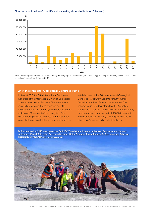#### **Direct economic value of scientific union meetings in Australia (in AUD by year)**



Based on average reported daily expenditure by meeting organisers and delegates, including pre- and post-meeting tourism activities and excluding airfares (Ernst & Young, 2015).

### **34th International Geological Congress Fund**

In August 2012 the 34th International Geological Congress of the International Union of Geological Sciences was held in Brisbane. The event was a resounding success. It was attended by 6012 delegates from 123 countries, with overseas visitors making up 62 per cent of the delegates. Seed contributions (including interest) and profit shares were distributed to all stakeholders, resulting in the

establishment of the 34th International Geological Congress Travel Grant Scheme for Early-Career Australian and New Zealand Geoscientists. This scheme, which is administered by the Australian Geoscience Council in conjunction with the Academy, provides annual grants of up to A\$5000 to support international travel for early-career geoscientists to attend conferences and conduct fieldwork.

**Dr Paul Ashwell, a 2015 awardee of the 34th IGC Travel Grant Scheme, undertakes field work in Chile with colleagues. From left to right: Dr Lauren Schaefer, Dr Ian Schipper, Emma Rhodes, Dr Ben Kennedy, Rebecca Fitzgerald, Dr Paul Ashwell. IMAGE: PAUL ASHWELL**